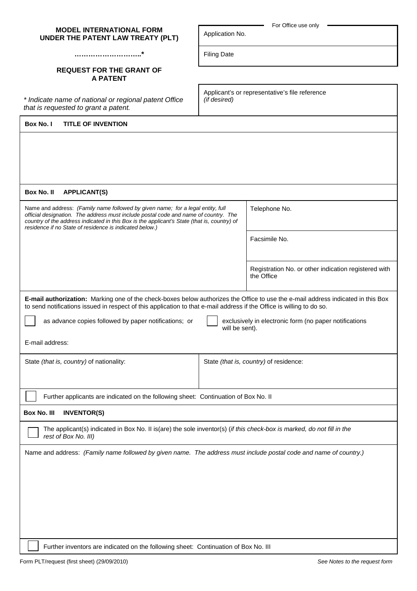| UNDER THE PATENT LAW TREATY (PLT)                                                                                                                                                                                                                                                                                                     | Application No.                                                |                                                                    |  |  |
|---------------------------------------------------------------------------------------------------------------------------------------------------------------------------------------------------------------------------------------------------------------------------------------------------------------------------------------|----------------------------------------------------------------|--------------------------------------------------------------------|--|--|
|                                                                                                                                                                                                                                                                                                                                       | <b>Filing Date</b>                                             |                                                                    |  |  |
| <b>REQUEST FOR THE GRANT OF</b><br><b>A PATENT</b>                                                                                                                                                                                                                                                                                    |                                                                |                                                                    |  |  |
| * Indicate name of national or regional patent Office<br>that is requested to grant a patent.                                                                                                                                                                                                                                         | Applicant's or representative's file reference<br>(if desired) |                                                                    |  |  |
| Box No. I<br><b>TITLE OF INVENTION</b>                                                                                                                                                                                                                                                                                                |                                                                |                                                                    |  |  |
|                                                                                                                                                                                                                                                                                                                                       |                                                                |                                                                    |  |  |
| Box No. II<br><b>APPLICANT(S)</b>                                                                                                                                                                                                                                                                                                     |                                                                |                                                                    |  |  |
| Name and address: (Family name followed by given name; for a legal entity, full<br>official designation. The address must include postal code and name of country. The<br>country of the address indicated in this Box is the applicant's State (that is, country) of<br>residence if no State of residence is indicated below.)      |                                                                | Telephone No.                                                      |  |  |
|                                                                                                                                                                                                                                                                                                                                       |                                                                | Facsimile No.                                                      |  |  |
|                                                                                                                                                                                                                                                                                                                                       |                                                                | Registration No. or other indication registered with<br>the Office |  |  |
| E-mail authorization: Marking one of the check-boxes below authorizes the Office to use the e-mail address indicated in this Box<br>to send notifications issued in respect of this application to that e-mail address if the Office is willing to do so.<br>as advance copies followed by paper notifications; or<br>E-mail address: | will be sent).                                                 | exclusively in electronic form (no paper notifications             |  |  |
| State (that is, country) of nationality:                                                                                                                                                                                                                                                                                              |                                                                | State (that is, country) of residence:                             |  |  |
| Further applicants are indicated on the following sheet: Continuation of Box No. II                                                                                                                                                                                                                                                   |                                                                |                                                                    |  |  |
| <b>Box No. III</b><br><b>INVENTOR(S)</b>                                                                                                                                                                                                                                                                                              |                                                                |                                                                    |  |  |
| The applicant(s) indicated in Box No. II is(are) the sole inventor(s) (if this check-box is marked, do not fill in the<br>rest of Box No. III)                                                                                                                                                                                        |                                                                |                                                                    |  |  |
| Name and address: (Family name followed by given name. The address must include postal code and name of country.)                                                                                                                                                                                                                     |                                                                |                                                                    |  |  |
| Further inventors are indicated on the following sheet: Continuation of Box No. III                                                                                                                                                                                                                                                   |                                                                |                                                                    |  |  |

Application No.

For Office use only

**MODEL INTERNATIONAL FORM**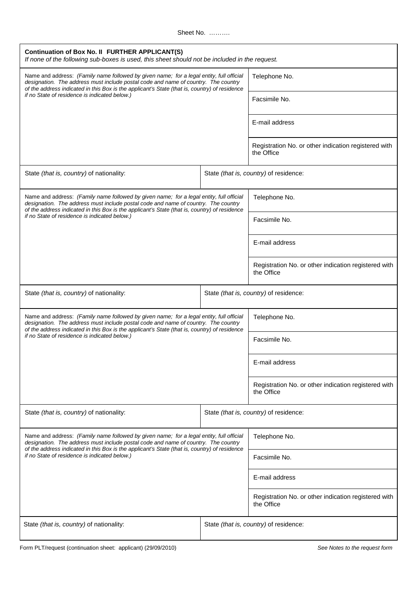Sheet No. ..........

| Continuation of Box No. II FURTHER APPLICANT(S)<br>If none of the following sub-boxes is used, this sheet should not be included in the request.                                                                                                                                                                                 |                                        |                                                                    |  |  |
|----------------------------------------------------------------------------------------------------------------------------------------------------------------------------------------------------------------------------------------------------------------------------------------------------------------------------------|----------------------------------------|--------------------------------------------------------------------|--|--|
| Name and address: (Family name followed by given name; for a legal entity, full official<br>designation. The address must include postal code and name of country. The country<br>of the address indicated in this Box is the applicant's State (that is, country) of residence<br>if no State of residence is indicated below.) |                                        | Telephone No.                                                      |  |  |
|                                                                                                                                                                                                                                                                                                                                  |                                        | Facsimile No.                                                      |  |  |
|                                                                                                                                                                                                                                                                                                                                  |                                        | E-mail address                                                     |  |  |
|                                                                                                                                                                                                                                                                                                                                  |                                        | Registration No. or other indication registered with<br>the Office |  |  |
| State (that is, country) of nationality:                                                                                                                                                                                                                                                                                         | State (that is, country) of residence: |                                                                    |  |  |
| Name and address: (Family name followed by given name; for a legal entity, full official<br>designation. The address must include postal code and name of country. The country<br>of the address indicated in this Box is the applicant's State (that is, country) of residence                                                  |                                        | Telephone No.                                                      |  |  |
| if no State of residence is indicated below.)                                                                                                                                                                                                                                                                                    |                                        | Facsimile No.                                                      |  |  |
|                                                                                                                                                                                                                                                                                                                                  |                                        | E-mail address                                                     |  |  |
|                                                                                                                                                                                                                                                                                                                                  |                                        | Registration No. or other indication registered with<br>the Office |  |  |
| State (that is, country) of nationality:                                                                                                                                                                                                                                                                                         |                                        | State (that is, country) of residence:                             |  |  |
| Name and address: (Family name followed by given name; for a legal entity, full official<br>designation. The address must include postal code and name of country. The country<br>of the address indicated in this Box is the applicant's State (that is, country) of residence<br>if no State of residence is indicated below.) |                                        | Telephone No.                                                      |  |  |
|                                                                                                                                                                                                                                                                                                                                  |                                        | Facsimile No.                                                      |  |  |
|                                                                                                                                                                                                                                                                                                                                  |                                        | E-mail address                                                     |  |  |
|                                                                                                                                                                                                                                                                                                                                  |                                        | Registration No. or other indication registered with<br>the Office |  |  |
| State (that is, country) of nationality:                                                                                                                                                                                                                                                                                         |                                        | State (that is, country) of residence:                             |  |  |
| Name and address: (Family name followed by given name; for a legal entity, full official<br>designation. The address must include postal code and name of country. The country<br>of the address indicated in this Box is the applicant's State (that is, country) of residence<br>if no State of residence is indicated below.) |                                        | Telephone No.                                                      |  |  |
|                                                                                                                                                                                                                                                                                                                                  |                                        | Facsimile No.                                                      |  |  |
|                                                                                                                                                                                                                                                                                                                                  |                                        | E-mail address                                                     |  |  |
|                                                                                                                                                                                                                                                                                                                                  |                                        | Registration No. or other indication registered with<br>the Office |  |  |
| State (that is, country) of nationality:                                                                                                                                                                                                                                                                                         | State (that is, country) of residence: |                                                                    |  |  |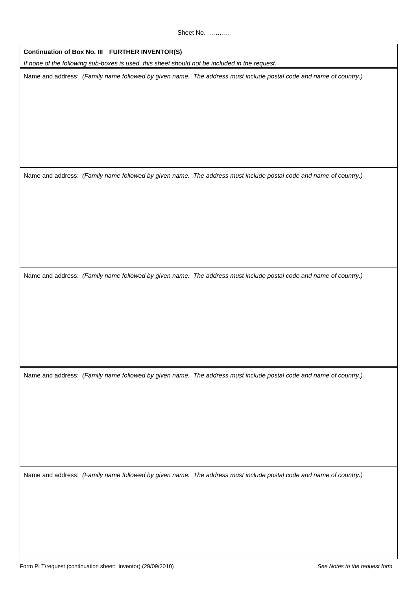**Continuation of Box No. III FURTHER INVENTOR(S)**

If none of the following sub-boxes is used, this sheet should not be included in the request.

Name and address: (Family name followed by given name. The address must include postal code and name of country.)

Name and address: (Family name followed by given name. The address must include postal code and name of country.)

Name and address: (Family name followed by given name. The address must include postal code and name of country.)

Name and address: (Family name followed by given name. The address must include postal code and name of country.)

Name and address: (Family name followed by given name. The address must include postal code and name of country.)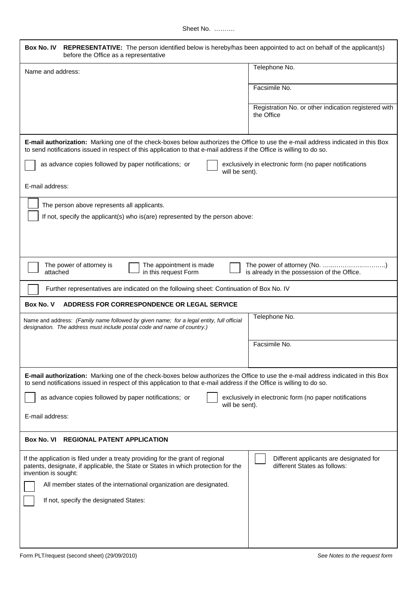| Box No. IV<br>REPRESENTATIVE: The person identified below is hereby/has been appointed to act on behalf of the applicant(s)<br>before the Office as a representative                                                                                      |                                                                             |
|-----------------------------------------------------------------------------------------------------------------------------------------------------------------------------------------------------------------------------------------------------------|-----------------------------------------------------------------------------|
| Name and address:                                                                                                                                                                                                                                         | Telephone No.                                                               |
|                                                                                                                                                                                                                                                           | Facsimile No.                                                               |
|                                                                                                                                                                                                                                                           | Registration No. or other indication registered with<br>the Office          |
| E-mail authorization: Marking one of the check-boxes below authorizes the Office to use the e-mail address indicated in this Box<br>to send notifications issued in respect of this application to that e-mail address if the Office is willing to do so. |                                                                             |
| as advance copies followed by paper notifications; or<br>will be sent).                                                                                                                                                                                   | exclusively in electronic form (no paper notifications                      |
| E-mail address:                                                                                                                                                                                                                                           |                                                                             |
| The person above represents all applicants.                                                                                                                                                                                                               |                                                                             |
| If not, specify the applicant(s) who is(are) represented by the person above:                                                                                                                                                                             |                                                                             |
|                                                                                                                                                                                                                                                           |                                                                             |
| The power of attorney is<br>The appointment is made<br>attached<br>in this request Form                                                                                                                                                                   | The power of attorney (No. )<br>is already in the possession of the Office. |
| Further representatives are indicated on the following sheet: Continuation of Box No. IV                                                                                                                                                                  |                                                                             |
| Box No. V<br>ADDRESS FOR CORRESPONDENCE OR LEGAL SERVICE                                                                                                                                                                                                  |                                                                             |
| Name and address: (Family name followed by given name; for a legal entity, full official<br>designation. The address must include postal code and name of country.)                                                                                       | Telephone No.                                                               |
|                                                                                                                                                                                                                                                           | Facsimile No.                                                               |
| E-mail authorization: Marking one of the check-boxes below authorizes the Office to use the e-mail address indicated in this Box<br>to send notifications issued in respect of this application to that e-mail address if the Office is willing to do so. |                                                                             |
| as advance copies followed by paper notifications; or<br>will be sent).                                                                                                                                                                                   | exclusively in electronic form (no paper notifications                      |
| E-mail address:                                                                                                                                                                                                                                           |                                                                             |
| Box No. VI<br><b>REGIONAL PATENT APPLICATION</b>                                                                                                                                                                                                          |                                                                             |
| If the application is filed under a treaty providing for the grant of regional<br>patents, designate, if applicable, the State or States in which protection for the<br>invention is sought:                                                              | Different applicants are designated for<br>different States as follows:     |
| All member states of the international organization are designated.                                                                                                                                                                                       |                                                                             |
| If not, specify the designated States:                                                                                                                                                                                                                    |                                                                             |
|                                                                                                                                                                                                                                                           |                                                                             |
|                                                                                                                                                                                                                                                           |                                                                             |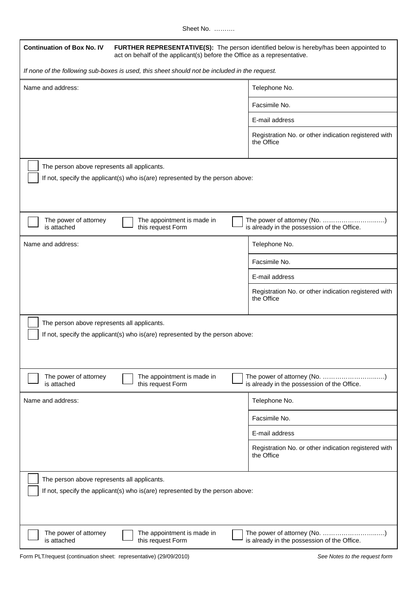Sheet No. ……….

| <b>Continuation of Box No. IV</b><br>FURTHER REPRESENTATIVE(S): The person identified below is hereby/has been appointed to<br>act on behalf of the applicant(s) before the Office as a representative. |                                                                             |  |  |  |
|---------------------------------------------------------------------------------------------------------------------------------------------------------------------------------------------------------|-----------------------------------------------------------------------------|--|--|--|
| If none of the following sub-boxes is used, this sheet should not be included in the request.                                                                                                           |                                                                             |  |  |  |
| Name and address:                                                                                                                                                                                       | Telephone No.                                                               |  |  |  |
|                                                                                                                                                                                                         | Facsimile No.                                                               |  |  |  |
|                                                                                                                                                                                                         | E-mail address                                                              |  |  |  |
|                                                                                                                                                                                                         | Registration No. or other indication registered with<br>the Office          |  |  |  |
| The person above represents all applicants.<br>If not, specify the applicant(s) who is(are) represented by the person above:                                                                            |                                                                             |  |  |  |
| The power of attorney<br>The appointment is made in<br>is attached<br>this request Form                                                                                                                 | The power of attorney (No. )<br>is already in the possession of the Office. |  |  |  |
| Name and address:                                                                                                                                                                                       | Telephone No.                                                               |  |  |  |
|                                                                                                                                                                                                         | Facsimile No.                                                               |  |  |  |
|                                                                                                                                                                                                         | E-mail address                                                              |  |  |  |
|                                                                                                                                                                                                         | Registration No. or other indication registered with<br>the Office          |  |  |  |
| The person above represents all applicants.<br>If not, specify the applicant(s) who is(are) represented by the person above:                                                                            |                                                                             |  |  |  |
| The power of attorney<br>The appointment is made in<br>is attached<br>this request Form                                                                                                                 | The power of attorney (No. )<br>is already in the possession of the Office. |  |  |  |
| Name and address:                                                                                                                                                                                       | Telephone No.                                                               |  |  |  |
|                                                                                                                                                                                                         | Facsimile No.                                                               |  |  |  |
|                                                                                                                                                                                                         | E-mail address                                                              |  |  |  |
|                                                                                                                                                                                                         | Registration No. or other indication registered with<br>the Office          |  |  |  |
| The person above represents all applicants.<br>If not, specify the applicant(s) who is(are) represented by the person above:                                                                            |                                                                             |  |  |  |
| The power of attorney<br>The appointment is made in<br>is attached<br>this request Form                                                                                                                 | The power of attorney (No. )<br>is already in the possession of the Office. |  |  |  |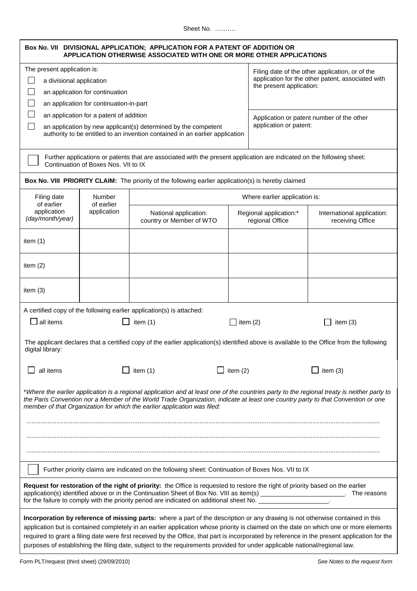Sheet No. ……….

|                                                                                                                                                                                                                                                                                                                                                                                                                                                                                                                                                       |                                                                                                                      | Box No. VII DIVISIONAL APPLICATION; APPLICATION FOR A PATENT OF ADDITION OR<br>APPLICATION OTHERWISE ASSOCIATED WITH ONE OR MORE OTHER APPLICATIONS |                                           |                                                   |  |
|-------------------------------------------------------------------------------------------------------------------------------------------------------------------------------------------------------------------------------------------------------------------------------------------------------------------------------------------------------------------------------------------------------------------------------------------------------------------------------------------------------------------------------------------------------|----------------------------------------------------------------------------------------------------------------------|-----------------------------------------------------------------------------------------------------------------------------------------------------|-------------------------------------------|---------------------------------------------------|--|
| The present application is:<br>Filing date of the other application, or of the                                                                                                                                                                                                                                                                                                                                                                                                                                                                        |                                                                                                                      |                                                                                                                                                     |                                           |                                                   |  |
| $\mathbf{I}$<br>a divisional application                                                                                                                                                                                                                                                                                                                                                                                                                                                                                                              |                                                                                                                      |                                                                                                                                                     |                                           | application for the other patent, associated with |  |
|                                                                                                                                                                                                                                                                                                                                                                                                                                                                                                                                                       | an application for continuation                                                                                      |                                                                                                                                                     |                                           | the present application:                          |  |
|                                                                                                                                                                                                                                                                                                                                                                                                                                                                                                                                                       | an application for continuation-in-part                                                                              |                                                                                                                                                     |                                           |                                                   |  |
| $\mathsf{L}$                                                                                                                                                                                                                                                                                                                                                                                                                                                                                                                                          | an application for a patent of addition                                                                              |                                                                                                                                                     |                                           |                                                   |  |
| $\blacksquare$                                                                                                                                                                                                                                                                                                                                                                                                                                                                                                                                        |                                                                                                                      | an application by new applicant(s) determined by the competent                                                                                      | application or patent:                    | Application or patent number of the other         |  |
|                                                                                                                                                                                                                                                                                                                                                                                                                                                                                                                                                       |                                                                                                                      | authority to be entitled to an invention contained in an earlier application                                                                        |                                           |                                                   |  |
|                                                                                                                                                                                                                                                                                                                                                                                                                                                                                                                                                       |                                                                                                                      |                                                                                                                                                     |                                           |                                                   |  |
|                                                                                                                                                                                                                                                                                                                                                                                                                                                                                                                                                       | Continuation of Boxes Nos. VII to IX                                                                                 | Further applications or patents that are associated with the present application are indicated on the following sheet:                              |                                           |                                                   |  |
|                                                                                                                                                                                                                                                                                                                                                                                                                                                                                                                                                       |                                                                                                                      | Box No. VIII PRIORITY CLAIM: The priority of the following earlier application(s) is hereby claimed                                                 |                                           |                                                   |  |
| Filing date<br>of earlier                                                                                                                                                                                                                                                                                                                                                                                                                                                                                                                             | Number<br>of earlier                                                                                                 |                                                                                                                                                     | Where earlier application is:             |                                                   |  |
| application<br>(day/month/year)                                                                                                                                                                                                                                                                                                                                                                                                                                                                                                                       | application                                                                                                          | National application:<br>country or Member of WTO                                                                                                   | Regional application:*<br>regional Office | International application:<br>receiving Office    |  |
| item $(1)$                                                                                                                                                                                                                                                                                                                                                                                                                                                                                                                                            |                                                                                                                      |                                                                                                                                                     |                                           |                                                   |  |
| item $(2)$                                                                                                                                                                                                                                                                                                                                                                                                                                                                                                                                            |                                                                                                                      |                                                                                                                                                     |                                           |                                                   |  |
| item $(3)$                                                                                                                                                                                                                                                                                                                                                                                                                                                                                                                                            |                                                                                                                      |                                                                                                                                                     |                                           |                                                   |  |
|                                                                                                                                                                                                                                                                                                                                                                                                                                                                                                                                                       |                                                                                                                      |                                                                                                                                                     |                                           |                                                   |  |
| all items                                                                                                                                                                                                                                                                                                                                                                                                                                                                                                                                             | A certified copy of the following earlier application(s) is attached:<br>item $(1)$<br>$\Box$ item (2)<br>item $(3)$ |                                                                                                                                                     |                                           |                                                   |  |
| digital library:                                                                                                                                                                                                                                                                                                                                                                                                                                                                                                                                      |                                                                                                                      | The applicant declares that a certified copy of the earlier application(s) identified above is available to the Office from the following           |                                           |                                                   |  |
| all items                                                                                                                                                                                                                                                                                                                                                                                                                                                                                                                                             |                                                                                                                      | $\Box$ item (1)                                                                                                                                     | item $(2)$                                | item $(3)$                                        |  |
| *Where the earlier application is a regional application and at least one of the countries party to the regional treaty is neither party to<br>the Paris Convention nor a Member of the World Trade Organization, indicate at least one country party to that Convention or one<br>member of that Organization for which the earlier application was filed:                                                                                                                                                                                           |                                                                                                                      |                                                                                                                                                     |                                           |                                                   |  |
|                                                                                                                                                                                                                                                                                                                                                                                                                                                                                                                                                       |                                                                                                                      |                                                                                                                                                     |                                           |                                                   |  |
|                                                                                                                                                                                                                                                                                                                                                                                                                                                                                                                                                       |                                                                                                                      |                                                                                                                                                     |                                           |                                                   |  |
|                                                                                                                                                                                                                                                                                                                                                                                                                                                                                                                                                       |                                                                                                                      |                                                                                                                                                     |                                           |                                                   |  |
| Further priority claims are indicated on the following sheet: Continuation of Boxes Nos. VII to IX                                                                                                                                                                                                                                                                                                                                                                                                                                                    |                                                                                                                      |                                                                                                                                                     |                                           |                                                   |  |
| Request for restoration of the right of priority: the Office is requested to restore the right of priority based on the earlier<br>application(s) identified above or in the Continuation Sheet of Box No. VIII as item(s) ______________________. The reasons                                                                                                                                                                                                                                                                                        |                                                                                                                      |                                                                                                                                                     |                                           |                                                   |  |
| Incorporation by reference of missing parts: where a part of the description or any drawing is not otherwise contained in this<br>application but is contained completely in an earlier application whose priority is claimed on the date on which one or more elements<br>required to grant a filing date were first received by the Office, that part is incorporated by reference in the present application for the<br>purposes of establishing the filing date, subject to the requirements provided for under applicable national/regional law. |                                                                                                                      |                                                                                                                                                     |                                           |                                                   |  |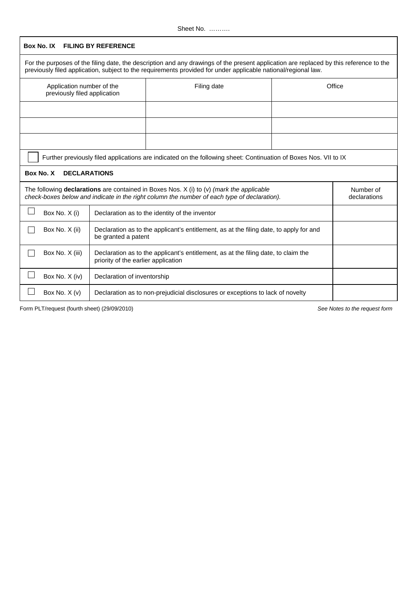| Box No. IX                                                                                                                                                                                              | <b>FILING BY REFERENCE</b>                                                                                                |                                                                                                                                                                                                                                                          |                           |        |
|---------------------------------------------------------------------------------------------------------------------------------------------------------------------------------------------------------|---------------------------------------------------------------------------------------------------------------------------|----------------------------------------------------------------------------------------------------------------------------------------------------------------------------------------------------------------------------------------------------------|---------------------------|--------|
|                                                                                                                                                                                                         |                                                                                                                           | For the purposes of the filing date, the description and any drawings of the present application are replaced by this reference to the<br>previously filed application, subject to the requirements provided for under applicable national/regional law. |                           |        |
| Application number of the<br>previously filed application                                                                                                                                               |                                                                                                                           | Filing date                                                                                                                                                                                                                                              |                           | Office |
|                                                                                                                                                                                                         |                                                                                                                           |                                                                                                                                                                                                                                                          |                           |        |
|                                                                                                                                                                                                         |                                                                                                                           |                                                                                                                                                                                                                                                          |                           |        |
|                                                                                                                                                                                                         |                                                                                                                           |                                                                                                                                                                                                                                                          |                           |        |
|                                                                                                                                                                                                         |                                                                                                                           | Further previously filed applications are indicated on the following sheet: Continuation of Boxes Nos. VII to IX                                                                                                                                         |                           |        |
| Box No. X                                                                                                                                                                                               | <b>DECLARATIONS</b>                                                                                                       |                                                                                                                                                                                                                                                          |                           |        |
| The following <b>declarations</b> are contained in Boxes Nos. $X$ (i) to (v) <i>(mark the applicable</i><br>check-boxes below and indicate in the right column the number of each type of declaration). |                                                                                                                           |                                                                                                                                                                                                                                                          | Number of<br>declarations |        |
| $\sim$<br>Box No. X (i)                                                                                                                                                                                 | Declaration as to the identity of the inventor                                                                            |                                                                                                                                                                                                                                                          |                           |        |
| Box No. X (ii)                                                                                                                                                                                          | Declaration as to the applicant's entitlement, as at the filing date, to apply for and<br>be granted a patent             |                                                                                                                                                                                                                                                          |                           |        |
| Box No. X (iii)                                                                                                                                                                                         | Declaration as to the applicant's entitlement, as at the filing date, to claim the<br>priority of the earlier application |                                                                                                                                                                                                                                                          |                           |        |
| Box No. X (iv)                                                                                                                                                                                          | Declaration of inventorship                                                                                               |                                                                                                                                                                                                                                                          |                           |        |
| Box No. X (v)                                                                                                                                                                                           |                                                                                                                           | Declaration as to non-prejudicial disclosures or exceptions to lack of novelty                                                                                                                                                                           |                           |        |

Form PLT/request (fourth sheet) (29/09/2010) See Notes to the request form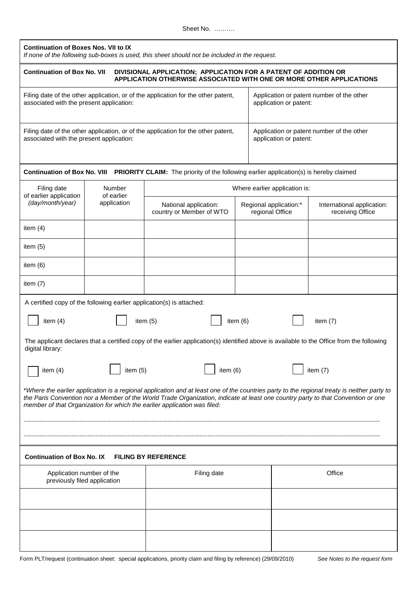| <b>Continuation of Boxes Nos. VII to IX</b><br>If none of the following sub-boxes is used, this sheet should not be included in the request.                                                                                                                                                                                                                |                           |                                                                                                                     |                                           |                               |                                                |
|-------------------------------------------------------------------------------------------------------------------------------------------------------------------------------------------------------------------------------------------------------------------------------------------------------------------------------------------------------------|---------------------------|---------------------------------------------------------------------------------------------------------------------|-------------------------------------------|-------------------------------|------------------------------------------------|
| <b>Continuation of Box No. VII</b><br>DIVISIONAL APPLICATION; APPLICATION FOR A PATENT OF ADDITION OR<br>APPLICATION OTHERWISE ASSOCIATED WITH ONE OR MORE OTHER APPLICATIONS                                                                                                                                                                               |                           |                                                                                                                     |                                           |                               |                                                |
| Filing date of the other application, or of the application for the other patent,<br>Application or patent number of the other<br>application or patent:<br>associated with the present application:                                                                                                                                                        |                           |                                                                                                                     |                                           |                               |                                                |
| Filing date of the other application, or of the application for the other patent,<br>Application or patent number of the other<br>associated with the present application:<br>application or patent:                                                                                                                                                        |                           |                                                                                                                     |                                           |                               |                                                |
|                                                                                                                                                                                                                                                                                                                                                             |                           | Continuation of Box No. VIII PRIORITY CLAIM: The priority of the following earlier application(s) is hereby claimed |                                           |                               |                                                |
| Filing date                                                                                                                                                                                                                                                                                                                                                 | Number                    |                                                                                                                     |                                           | Where earlier application is: |                                                |
| of earlier application<br>(day/month/year)                                                                                                                                                                                                                                                                                                                  | of earlier<br>application | National application:<br>country or Member of WTO                                                                   | Regional application:*<br>regional Office |                               | International application:<br>receiving Office |
| item $(4)$                                                                                                                                                                                                                                                                                                                                                  |                           |                                                                                                                     |                                           |                               |                                                |
| item (5)                                                                                                                                                                                                                                                                                                                                                    |                           |                                                                                                                     |                                           |                               |                                                |
| item $(6)$                                                                                                                                                                                                                                                                                                                                                  |                           |                                                                                                                     |                                           |                               |                                                |
| item $(7)$                                                                                                                                                                                                                                                                                                                                                  |                           |                                                                                                                     |                                           |                               |                                                |
| A certified copy of the following earlier application(s) is attached:                                                                                                                                                                                                                                                                                       |                           |                                                                                                                     |                                           |                               |                                                |
| item $(4)$                                                                                                                                                                                                                                                                                                                                                  |                           | item $(5)$                                                                                                          | item $(6)$                                |                               | item $(7)$                                     |
| The applicant declares that a certified copy of the earlier application(s) identified above is available to the Office from the following<br>digital library:                                                                                                                                                                                               |                           |                                                                                                                     |                                           |                               |                                                |
| item (6)<br>item $(5)$<br>item $(7)$<br>item $(4)$                                                                                                                                                                                                                                                                                                          |                           |                                                                                                                     |                                           |                               |                                                |
| *Where the earlier application is a regional application and at least one of the countries party to the regional treaty is neither party to<br>the Paris Convention nor a Member of the World Trade Organization, indicate at least one country party to that Convention or one<br>member of that Organization for which the earlier application was filed: |                           |                                                                                                                     |                                           |                               |                                                |
|                                                                                                                                                                                                                                                                                                                                                             |                           |                                                                                                                     |                                           |                               |                                                |
| <b>Continuation of Box No. IX</b><br><b>FILING BY REFERENCE</b>                                                                                                                                                                                                                                                                                             |                           |                                                                                                                     |                                           |                               |                                                |
| Office<br>Application number of the<br>Filing date<br>previously filed application                                                                                                                                                                                                                                                                          |                           |                                                                                                                     |                                           |                               |                                                |
|                                                                                                                                                                                                                                                                                                                                                             |                           |                                                                                                                     |                                           |                               |                                                |
|                                                                                                                                                                                                                                                                                                                                                             |                           |                                                                                                                     |                                           |                               |                                                |
|                                                                                                                                                                                                                                                                                                                                                             |                           |                                                                                                                     |                                           |                               |                                                |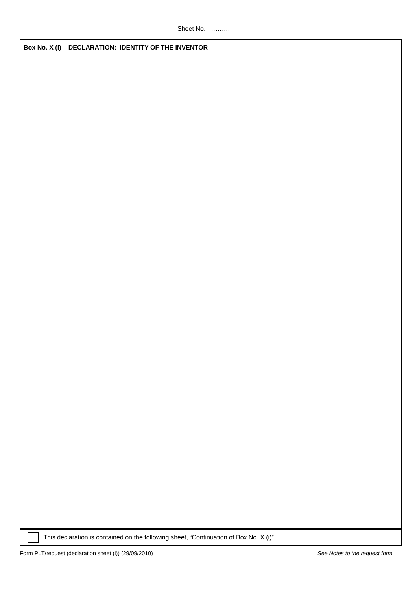**Box No. X (i) DECLARATION: IDENTITY OF THE INVENTOR**

This declaration is contained on the following sheet, "Continuation of Box No. X (i)".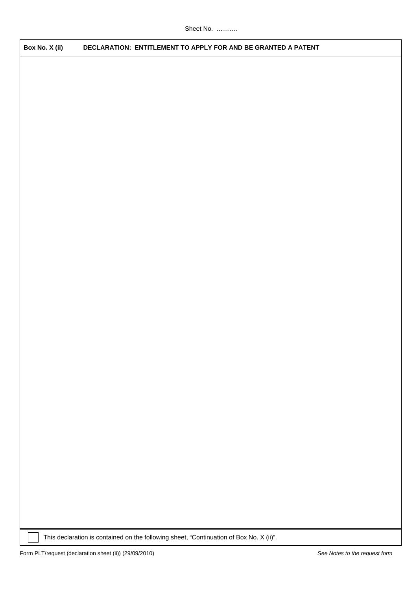**Box No. X (ii) DECLARATION: ENTITLEMENT TO APPLY FOR AND BE GRANTED A PATENT**

This declaration is contained on the following sheet, "Continuation of Box No. X (ii)".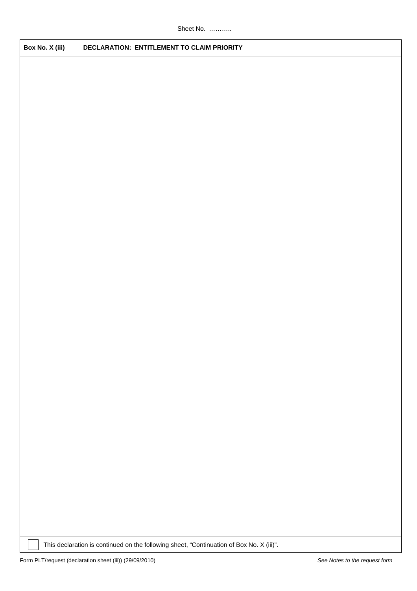**Box No. X (iii) DECLARATION: ENTITLEMENT TO CLAIM PRIORITY**

This declaration is continued on the following sheet, "Continuation of Box No. X (iii)".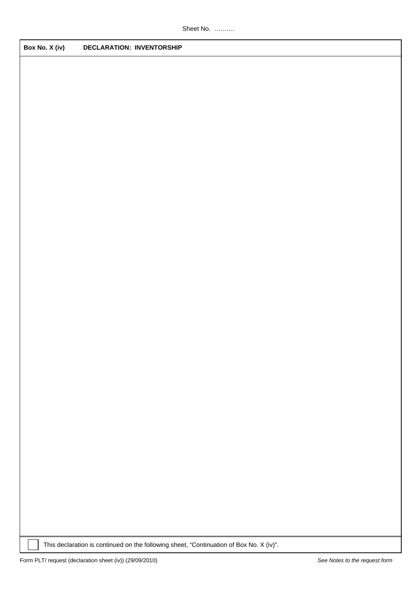**Box No. X (iv) DECLARATION: INVENTORSHIP**

This declaration is continued on the following sheet, "Continuation of Box No. X (iv)".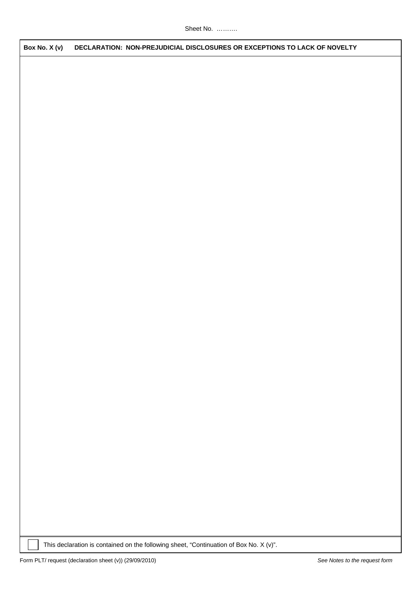**Box No. X (v) DECLARATION: NON-PREJUDICIAL DISCLOSURES OR EXCEPTIONS TO LACK OF NOVELTY**

This declaration is contained on the following sheet, "Continuation of Box No. X (v)".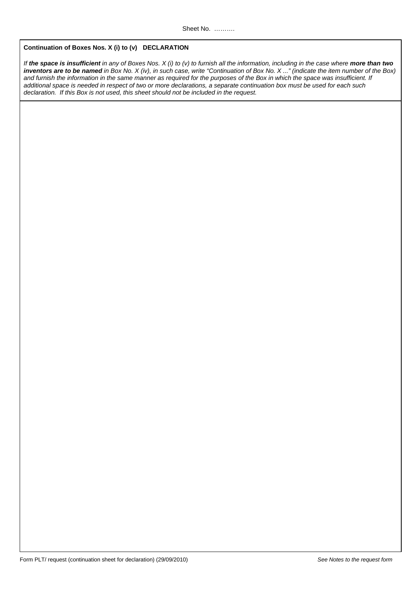## **Continuation of Boxes Nos. X (i) to (v) DECLARATION**

If **the space is insufficient** in any of Boxes Nos. X (i) to (v) to furnish all the information, including in the case where **more than two inventors are to be named** in Box No. X (iv), in such case, write "Continuation of Box No. X ..." (indicate the item number of the Box) and furnish the information in the same manner as required for the purposes of the Box in which the space was insufficient. If additional space is needed in respect of two or more declarations, a separate continuation box must be used for each such declaration. If this Box is not used, this sheet should not be included in the request.